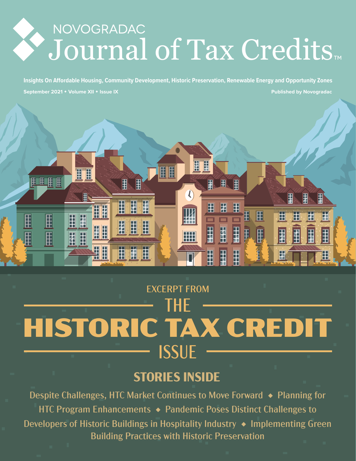# NOVOGRADAC Journal of Tax Credits

**September 2021 Volume XII Issue IX Insights On Affordable Housing, Community Development, Historic Preservation, Renewable Energy and Opportunity Zones Published by Novogradac**



# EXCERPT FROM

# THE HISTORIC TAX CREDIT ISSUE

# **STORIES INSIDE**

Despite Challenges, HTC Market Continues to Move Forward ♦ Planning for HTC Program Enhancements ♦ Pandemic Poses Distinct Challenges to Developers of Historic Buildings in Hospitality Industry ◆ Implementing Green Building Practices with Historic Preservation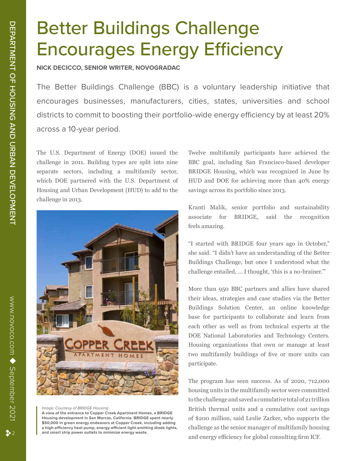# Better Buildings Challenge Encourages Energy Efficiency

**NICK DECICCO, SENIOR WRITER, NOVOGRADAC**

The Better Buildings Challenge (BBC) is a voluntary leadership initiative that encourages businesses, manufacturers, cities, states, universities and school districts to commit to boosting their portfolio-wide energy efficiency by at least 20% across a 10-year period.

The U.S. Department of Energy (DOE) issued the challenge in 2011. Building types are split into nine separate sectors, including a multifamily sector, which DOE partnered with the U.S. Department of Housing and Urban Development (HUD) to add to the challenge in 2013.



#### *Image: Courtesy of BRIDGE Housing*

**A view of the entrance to Copper Creek Apartment Homes, a BRIDGE Housing development in San Marcos, California. BRIDGE spent nearly \$50,000 in green energy endeavors at Copper Creek, including adding a high-efficiency heat pump, energy-efficient light-emitting diode lights, and smart strip power outlets to minimize energy waste.**

Twelve multifamily participants have achieved the BBC goal, including San Francisco-based developer BRIDGE Housing, which was recognized in June by HUD and DOE for achieving more than 40% energy savings across its portfolio since 2013.

Kranti Malik, senior portfolio and sustainability associate for BRIDGE, said the recognition feels amazing.

"I started with BRIDGE four years ago in October," she said. "I didn't have an understanding of the Better Buildings Challenge, but once I understood what the challenge entailed, … I thought, 'this is a no-brainer.'"

More than 950 BBC partners and allies have shared their ideas, strategies and case studies via the Better Buildings Solution Center, an online knowledge base for participants to collaborate and learn from each other as well as from technical experts at the DOE National Laboratories and Technology Centers. Housing organizations that own or manage at least two multifamily buildings of five or more units can participate.

The program has seen success. As of 2020, 712,000 housing units in the multifamily sector were committed to the challenge and saved a cumulative total of 21 trillion British thermal units and a cumulative cost savings of \$200 million, said Leslie Zarker, who supports the challenge as the senior manager of multifamily housing and energy efficiency for global consulting firm ICF.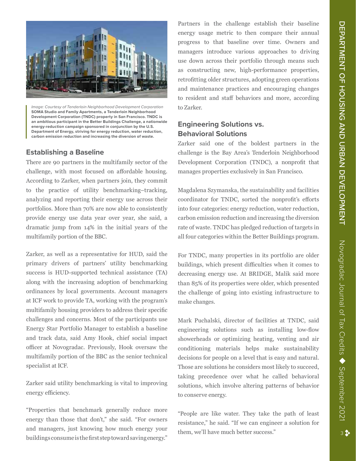

*Image: Courtesy of Tenderloin Neighborhood Development Corporation* **SOMA Studio and Family Apartments, a Tenderloin Neighborhood Development Corporation (TNDC) property in San Francisco. TNDC is an ambitious participant in the Better Buildings Challenge, a nationwide energy-reduction campaign sponsored in conjunction by the U.S. Department of Energy, striving for energy reduction, water reduction, carbon emission reduction and increasing the diversion of waste.**

## **Establishing a Baseline**

There are 90 partners in the multifamily sector of the challenge, with most focused on affordable housing. According to Zarker, when partners join, they commit to the practice of utility benchmarking–tracking, analyzing and reporting their energy use across their portfolios. More than 70% are now able to consistently provide energy use data year over year, she said, a dramatic jump from 14% in the initial years of the multifamily portion of the BBC.

Zarker, as well as a representative for HUD, said the primary drivers of partners' utility benchmarking success is HUD-supported technical assistance (TA) along with the increasing adoption of benchmarking ordinances by local governments. Account managers at ICF work to provide TA, working with the program's multifamily housing providers to address their specific challenges and concerns. Most of the participants use Energy Star Portfolio Manager to establish a baseline and track data, said Amy Hook, chief social impact officer at Novogradac. Previously, Hook oversaw the multifamily portion of the BBC as the senior technical specialist at ICF.

Zarker said utility benchmarking is vital to improving energy efficiency.

"Properties that benchmark generally reduce more energy than those that don't," she said. "For owners and managers, just knowing how much energy your buildings consume is the first step toward saving energy." Partners in the challenge establish their baseline energy usage metric to then compare their annual progress to that baseline over time. Owners and managers introduce various approaches to driving use down across their portfolio through means such as constructing new, high-performance properties, retrofitting older structures, adopting green operations and maintenance practices and encouraging changes to resident and staff behaviors and more, according to Zarker.

## **Engineering Solutions vs. Behavioral Solutions**

Zarker said one of the boldest partners in the challenge is the Bay Area's Tenderloin Neighborhood Development Corporation (TNDC), a nonprofit that manages properties exclusively in San Francisco.

Magdalena Szymanska, the sustainability and facilities coordinator for TNDC, sorted the nonprofit's efforts into four categories: energy reduction, water reduction, carbon emission reduction and increasing the diversion rate of waste. TNDC has pledged reduction of targets in all four categories within the Better Buildings program.

For TNDC, many properties in its portfolio are older buildings, which present difficulties when it comes to decreasing energy use. At BRIDGE, Malik said more than 85% of its properties were older, which presented the challenge of going into existing infrastructure to make changes.

Mark Puchalski, director of facilities at TNDC, said engineering solutions such as installing low-flow showerheads or optimizing heating, venting and air conditioning materials helps make sustainability decisions for people on a level that is easy and natural. Those are solutions he considers most likely to succeed, taking precedence over what he called behavioral solutions, which involve altering patterns of behavior to conserve energy.

"People are like water. They take the path of least resistance," he said. "If we can engineer a solution for them, we'll have much better success."

September 2021

Novogradac Journal of Tax Credits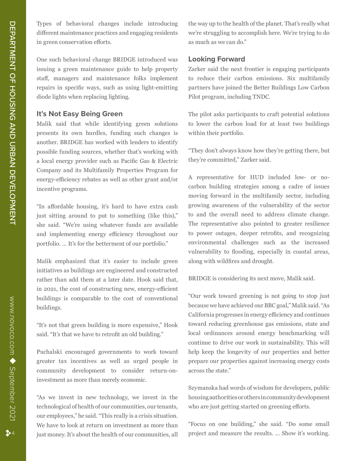Types of behavioral changes include introducing different maintenance practices and engaging residents in green conservation efforts.

One such behavioral change BRIDGE introduced was issuing a green maintenance guide to help property staff, managers and maintenance folks implement repairs in specific ways, such as using light-emitting diode lights when replacing lighting.

### **It's Not Easy Being Green**

Malik said that while identifying green solutions presents its own hurdles, funding such changes is another. BRIDGE has worked with lenders to identify possible funding sources, whether that's working with a local energy provider such as Pacific Gas & Electric Company and its Multifamily Properties Program for energy-efficiency rebates as well as other grant and/or incentive programs.

"In affordable housing, it's hard to have extra cash just sitting around to put to something (like this)," she said. "We're using whatever funds are available and implementing energy efficiency throughout our portfolio. … It's for the betterment of our portfolio."

Malik emphasized that it's easier to include green initiatives as buildings are engineered and constructed rather than add them at a later date. Hook said that, in 2021, the cost of constructing new, energy-efficient buildings is comparable to the cost of conventional buildings.

"It's not that green building is more expensive," Hook said. "It's that we have to retrofit an old building."

Puchalski encouraged governments to work toward greater tax incentives as well as urged people in community development to consider return-oninvestment as more than merely economic.

"As we invest in new technology, we invest in the technological of health of our communities, our tenants, our employees," he said. "This really is a crisis situation. We have to look at return on investment as more than just money. It's about the health of our communities, all

the way up to the health of the planet. That's really what we're struggling to accomplish here. We're trying to do as much as we can do."

## **Looking Forward**

Zarker said the next frontier is engaging participants to reduce their carbon emissions. Six multifamily partners have joined the Better Buildings Low Carbon Pilot program, including TNDC.

The pilot asks participants to craft potential solutions to lower the carbon load for at least two buildings within their portfolio.

"They don't always know how they're getting there, but they're committed," Zarker said.

A representative for HUD included low- or nocarbon building strategies among a cadre of issues moving forward in the multifamily sector, including growing awareness of the vulnerability of the sector to and the overall need to address climate change. The representative also pointed to greater resilience to power outages, deeper retrofits, and recognizing environmental challenges such as the increased vulnerability to flooding, especially in coastal areas, along with wildfires and drought.

BRIDGE is considering its next move, Malik said.

"Our work toward greening is not going to stop just because we have achieved our BBC goal," Malik said. "As California progresses in energy efficiency and continues toward reducing greenhouse gas emissions, state and local ordinances around energy benchmarking will continue to drive our work in sustainability. This will help keep the longevity of our properties and better prepare our properties against increasing energy costs across the state."

Szymanska had words of wisdom for developers, public housing authorities or others in community development who are just getting started on greening efforts.

"Focus on one building," she said. "Do some small project and measure the results. … Show it's working.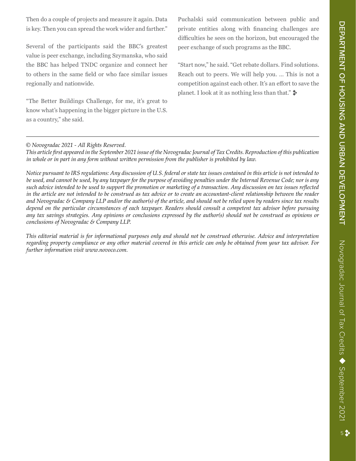Then do a couple of projects and measure it again. Data is key. Then you can spread the work wider and farther."

Several of the participants said the BBC's greatest value is peer exchange, including Szymanska, who said the BBC has helped TNDC organize and connect her to others in the same field or who face similar issues regionally and nationwide.

"The Better Buildings Challenge, for me, it's great to know what's happening in the bigger picture in the U.S. as a country," she said.

Puchalski said communication between public and private entities along with financing challenges are difficulties he sees on the horizon, but encouraged the peer exchange of such programs as the BBC.

"Start now," he said. "Get rebate dollars. Find solutions. Reach out to peers. We will help you. … This is not a competition against each other. It's an effort to save the planet. I look at it as nothing less than that."  $\blacktriangleright$ 

#### *© Novogradac 2021 - All Rights Reserved.*

*This article first appeared in the September 2021 issue of the Novogradac Journal of Tax Credits. Reproduction of this publication in whole or in part in any form without written permission from the publisher is prohibited by law.*

*Notice pursuant to IRS regulations: Any discussion of U.S. federal or state tax issues contained in this article is not intended to be used, and cannot be used, by any taxpayer for the purpose of avoiding penalties under the Internal Revenue Code; nor is any such advice intended to be used to support the promotion or marketing of a transaction. Any discussion on tax issues reflected in the article are not intended to be construed as tax advice or to create an accountant-client relationship between the reader and Novogradac & Company LLP and/or the author(s) of the article, and should not be relied upon by readers since tax results depend on the particular circumstances of each taxpayer. Readers should consult a competent tax advisor before pursuing any tax savings strategies. Any opinions or conclusions expressed by the author(s) should not be construed as opinions or conclusions of Novogradac & Company LLP.* 

*This editorial material is for informational purposes only and should not be construed otherwise. Advice and interpretation regarding property compliance or any other material covered in this article can only be obtained from your tax advisor. For further information visit www.novoco.com.*

September 2021

Novogradac Journal of Tax Credits